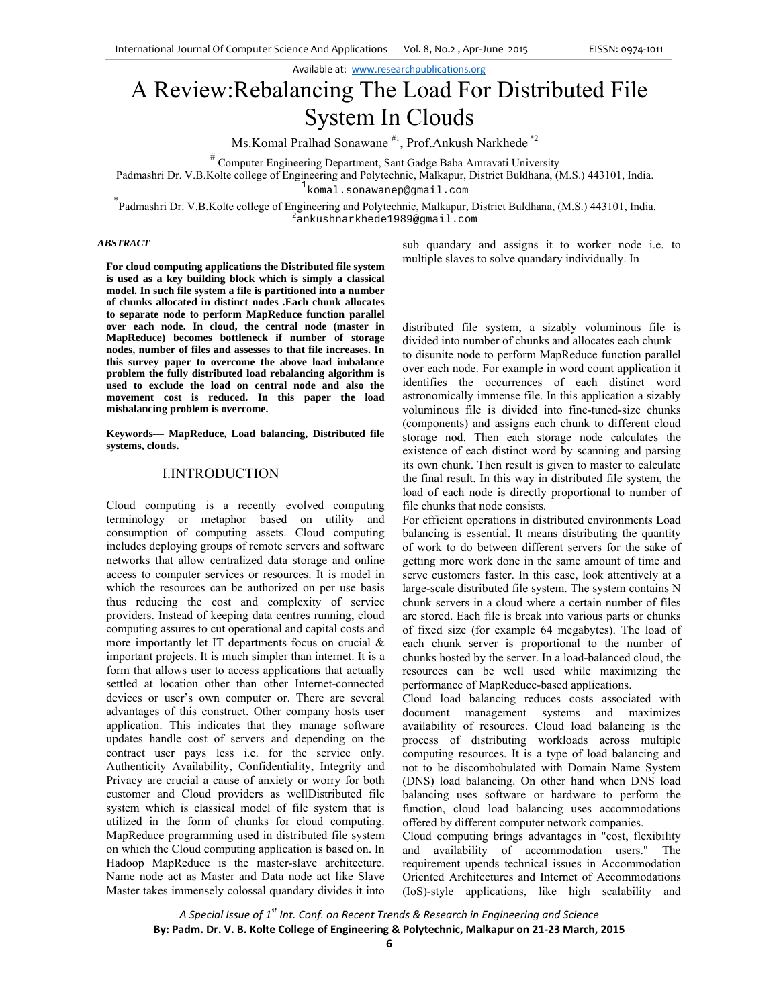Available at: www.researchpublications.org

# A Review:Rebalancing The Load For Distributed File System In Clouds

Ms.Komal Pralhad Sonawane #1, Prof.Ankush Narkhede \*2

# Computer Engineering Department, Sant Gadge Baba Amravati University

Padmashri Dr. V.B.Kolte college of Engineering and Polytechnic, Malkapur, District Buldhana, (M.S.) 443101, India.

1komal.sonawanep@gmail.com komal.sonawanep@gmail.com \*<br>\* Peleceki Pr. V.P. Kekee Here of Ferinania and Polackin Mallace of

Padmashri Dr. V.B.Kolte college of Engineering and Polytechnic, Malkapur, District Buldhana, (M.S.) 443101, India. ankushnarkhede1989@gmail.com

#### *ABSTRACT*

**For cloud computing applications the Distributed file system is used as a key building block which is simply a classical model. In such file system a file is partitioned into a number of chunks allocated in distinct nodes .Each chunk allocates to separate node to perform MapReduce function parallel over each node. In cloud, the central node (master in MapReduce) becomes bottleneck if number of storage nodes, number of files and assesses to that file increases. In this survey paper to overcome the above load imbalance problem the fully distributed load rebalancing algorithm is used to exclude the load on central node and also the movement cost is reduced. In this paper the load misbalancing problem is overcome.** 

**Keywords— MapReduce, Load balancing, Distributed file systems, clouds.** 

# I.INTRODUCTION

Cloud computing is a recently evolved computing terminology or metaphor based on utility and consumption of computing assets. Cloud computing includes deploying groups of remote servers and software networks that allow centralized data storage and online access to computer services or resources. It is model in which the resources can be authorized on per use basis thus reducing the cost and complexity of service providers. Instead of keeping data centres running, cloud computing assures to cut operational and capital costs and more importantly let IT departments focus on crucial & important projects. It is much simpler than internet. It is a form that allows user to access applications that actually settled at location other than other Internet-connected devices or user's own computer or. There are several advantages of this construct. Other company hosts user application. This indicates that they manage software updates handle cost of servers and depending on the contract user pays less i.e. for the service only. Authenticity Availability, Confidentiality, Integrity and Privacy are crucial a cause of anxiety or worry for both customer and Cloud providers as wellDistributed file system which is classical model of file system that is utilized in the form of chunks for cloud computing. MapReduce programming used in distributed file system on which the Cloud computing application is based on. In Hadoop MapReduce is the master-slave architecture. Name node act as Master and Data node act like Slave Master takes immensely colossal quandary divides it into sub quandary and assigns it to worker node i.e. to multiple slaves to solve quandary individually. In

distributed file system, a sizably voluminous file is divided into number of chunks and allocates each chunk to disunite node to perform MapReduce function parallel over each node. For example in word count application it identifies the occurrences of each distinct word astronomically immense file. In this application a sizably voluminous file is divided into fine-tuned-size chunks (components) and assigns each chunk to different cloud storage nod. Then each storage node calculates the existence of each distinct word by scanning and parsing its own chunk. Then result is given to master to calculate the final result. In this way in distributed file system, the load of each node is directly proportional to number of file chunks that node consists.

For efficient operations in distributed environments Load balancing is essential. It means distributing the quantity of work to do between different servers for the sake of getting more work done in the same amount of time and serve customers faster. In this case, look attentively at a large-scale distributed file system. The system contains N chunk servers in a cloud where a certain number of files are stored. Each file is break into various parts or chunks of fixed size (for example 64 megabytes). The load of each chunk server is proportional to the number of chunks hosted by the server. In a load-balanced cloud, the resources can be well used while maximizing the performance of MapReduce-based applications.

Cloud load balancing reduces costs associated with document management systems and maximizes availability of resources. Cloud load balancing is the process of distributing workloads across multiple computing resources. It is a type of load balancing and not to be discombobulated with Domain Name System (DNS) load balancing. On other hand when DNS load balancing uses software or hardware to perform the function, cloud load balancing uses accommodations offered by different computer network companies.

Cloud computing brings advantages in "cost, flexibility and availability of accommodation users." The requirement upends technical issues in Accommodation Oriented Architectures and Internet of Accommodations (IoS)-style applications, like high scalability and

*A Special Issue of 1st Int. Conf. on Recent Trends & Research in Engineering and Science* **By: Padm. Dr. V. B. Kolte College of Engineering & Polytechnic, Malkapur on 21‐23 March, 2015**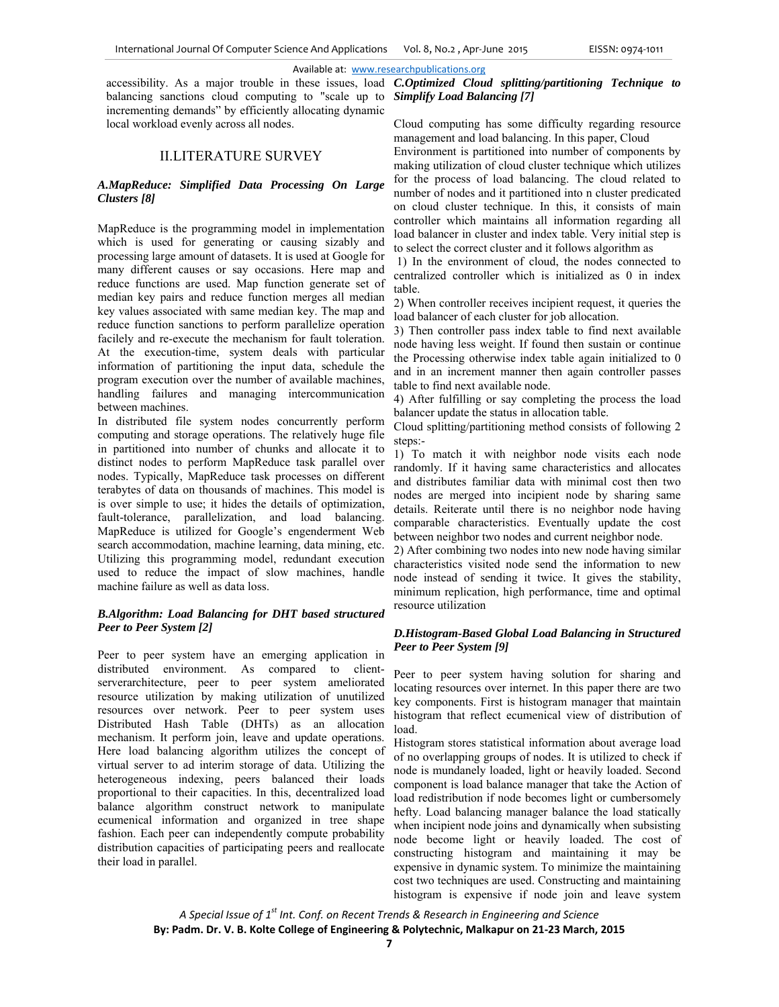## Available at: www.researchpublications.org

accessibility. As a major trouble in these issues, load balancing sanctions cloud computing to "scale up to incrementing demands" by efficiently allocating dynamic local workload evenly across all nodes.

## II.LITERATURE SURVEY

### *A.MapReduce: Simplified Data Processing On Large Clusters [8]*

MapReduce is the programming model in implementation which is used for generating or causing sizably and processing large amount of datasets. It is used at Google for many different causes or say occasions. Here map and reduce functions are used. Map function generate set of median key pairs and reduce function merges all median key values associated with same median key. The map and reduce function sanctions to perform parallelize operation facilely and re-execute the mechanism for fault toleration. At the execution-time, system deals with particular information of partitioning the input data, schedule the program execution over the number of available machines, handling failures and managing intercommunication between machines.

In distributed file system nodes concurrently perform computing and storage operations. The relatively huge file in partitioned into number of chunks and allocate it to distinct nodes to perform MapReduce task parallel over nodes. Typically, MapReduce task processes on different terabytes of data on thousands of machines. This model is is over simple to use; it hides the details of optimization, fault-tolerance, parallelization, and load balancing. MapReduce is utilized for Google's engenderment Web search accommodation, machine learning, data mining, etc. Utilizing this programming model, redundant execution used to reduce the impact of slow machines, handle machine failure as well as data loss.

## *B.Algorithm: Load Balancing for DHT based structured Peer to Peer System [2]*

Peer to peer system have an emerging application in distributed environment. As compared to clientserverarchitecture, peer to peer system ameliorated resource utilization by making utilization of unutilized resources over network. Peer to peer system uses Distributed Hash Table (DHTs) as an allocation mechanism. It perform join, leave and update operations. Here load balancing algorithm utilizes the concept of virtual server to ad interim storage of data. Utilizing the heterogeneous indexing, peers balanced their loads proportional to their capacities. In this, decentralized load balance algorithm construct network to manipulate ecumenical information and organized in tree shape fashion. Each peer can independently compute probability distribution capacities of participating peers and reallocate their load in parallel.

*C.Optimized Cloud splitting/partitioning Technique to Simplify Load Balancing [7]* 

Cloud computing has some difficulty regarding resource management and load balancing. In this paper, Cloud

Environment is partitioned into number of components by making utilization of cloud cluster technique which utilizes for the process of load balancing. The cloud related to number of nodes and it partitioned into n cluster predicated on cloud cluster technique. In this, it consists of main controller which maintains all information regarding all load balancer in cluster and index table. Very initial step is to select the correct cluster and it follows algorithm as

 1) In the environment of cloud, the nodes connected to centralized controller which is initialized as 0 in index table.

2) When controller receives incipient request, it queries the load balancer of each cluster for job allocation.

3) Then controller pass index table to find next available node having less weight. If found then sustain or continue the Processing otherwise index table again initialized to 0 and in an increment manner then again controller passes table to find next available node.

4) After fulfilling or say completing the process the load balancer update the status in allocation table.

Cloud splitting/partitioning method consists of following 2 steps:-

1) To match it with neighbor node visits each node randomly. If it having same characteristics and allocates and distributes familiar data with minimal cost then two nodes are merged into incipient node by sharing same details. Reiterate until there is no neighbor node having comparable characteristics. Eventually update the cost between neighbor two nodes and current neighbor node.

2) After combining two nodes into new node having similar characteristics visited node send the information to new node instead of sending it twice. It gives the stability, minimum replication, high performance, time and optimal resource utilization

## *D.Histogram-Based Global Load Balancing in Structured Peer to Peer System [9]*

Peer to peer system having solution for sharing and locating resources over internet. In this paper there are two key components. First is histogram manager that maintain histogram that reflect ecumenical view of distribution of load.

Histogram stores statistical information about average load of no overlapping groups of nodes. It is utilized to check if node is mundanely loaded, light or heavily loaded. Second component is load balance manager that take the Action of load redistribution if node becomes light or cumbersomely hefty. Load balancing manager balance the load statically when incipient node joins and dynamically when subsisting node become light or heavily loaded. The cost of constructing histogram and maintaining it may be expensive in dynamic system. To minimize the maintaining cost two techniques are used. Constructing and maintaining histogram is expensive if node join and leave system

*A Special Issue of 1st Int. Conf. on Recent Trends & Research in Engineering and Science* **By: Padm. Dr. V. B. Kolte College of Engineering & Polytechnic, Malkapur on 21‐23 March, 2015**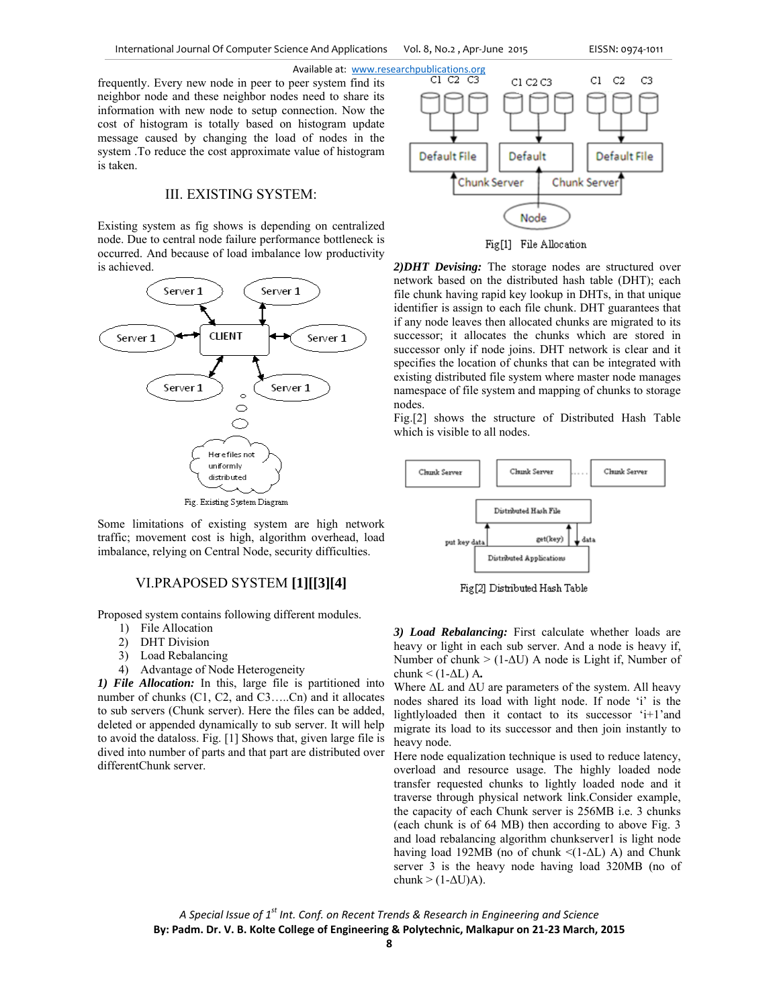frequently. Every new node in peer to peer system find its neighbor node and these neighbor nodes need to share its information with new node to setup connection. Now the cost of histogram is totally based on histogram update message caused by changing the load of nodes in the system .To reduce the cost approximate value of histogram is taken.

# III. EXISTING SYSTEM:

Existing system as fig shows is depending on centralized node. Due to central node failure performance bottleneck is occurred. And because of load imbalance low productivity is achieved.



Some limitations of existing system are high network traffic; movement cost is high, algorithm overhead, load imbalance, relying on Central Node, security difficulties.

### VI.PRAPOSED SYSTEM **[1][[3][4]**

Proposed system contains following different modules.

- 1) File Allocation
- 2) DHT Division
- 3) Load Rebalancing
- 4) Advantage of Node Heterogeneity

*1) File Allocation:* In this, large file is partitioned into number of chunks (C1, C2, and C3.....Cn) and it allocates to sub servers (Chunk server). Here the files can be added, deleted or appended dynamically to sub server. It will help to avoid the dataloss. Fig. [1] Shows that, given large file is dived into number of parts and that part are distributed over differentChunk server.



Fig[1] File Allocation

*2)DHT Devising:* The storage nodes are structured over network based on the distributed hash table (DHT); each file chunk having rapid key lookup in DHTs, in that unique identifier is assign to each file chunk. DHT guarantees that if any node leaves then allocated chunks are migrated to its successor; it allocates the chunks which are stored in successor only if node joins. DHT network is clear and it specifies the location of chunks that can be integrated with existing distributed file system where master node manages namespace of file system and mapping of chunks to storage nodes.

Fig.[2] shows the structure of Distributed Hash Table which is visible to all nodes.



Fig[2] Distributed Hash Table

*3) Load Rebalancing:* First calculate whether loads are heavy or light in each sub server. And a node is heavy if, Number of chunk  $>$  (1- $\Delta$ U) A node is Light if, Number of chunk < (1-ΔL) A*.* 

Where  $\Delta L$  and  $\Delta U$  are parameters of the system. All heavy nodes shared its load with light node. If node 'i' is the lightlyloaded then it contact to its successor 'i+1'and migrate its load to its successor and then join instantly to heavy node.

Here node equalization technique is used to reduce latency, overload and resource usage. The highly loaded node transfer requested chunks to lightly loaded node and it traverse through physical network link.Consider example, the capacity of each Chunk server is 256MB i.e. 3 chunks (each chunk is of 64 MB) then according to above Fig. 3 and load rebalancing algorithm chunkserver1 is light node having load 192MB (no of chunk  $\leq$ (1- $\Delta$ L) A) and Chunk server 3 is the heavy node having load 320MB (no of chunk >  $(1-\Delta U)$ A).

*A Special Issue of 1st Int. Conf. on Recent Trends & Research in Engineering and Science* **By: Padm. Dr. V. B. Kolte College of Engineering & Polytechnic, Malkapur on 21‐23 March, 2015**